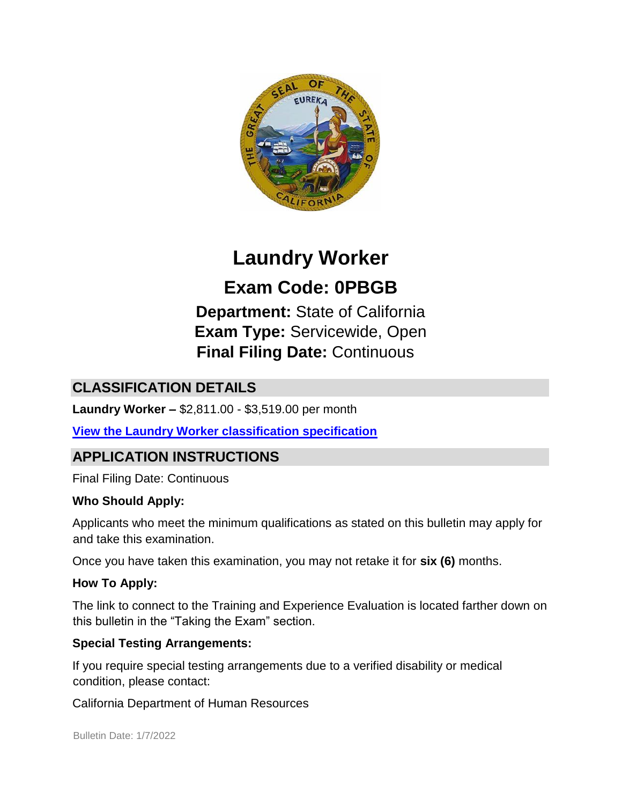

# **Laundry Worker**

**Exam Code: 0PBGB** 

**Department:** State of California **Exam Type:** Servicewide, Open **Final Filing Date:** Continuous

# **CLASSIFICATION DETAILS**

**Laundry Worker –** \$2,811.00 - \$3,519.00 per month

**[View the Laundry Worker classification specification](https://www.calhr.ca.gov/state-hr-professionals/pages/2116.aspx)**

# **APPLICATION INSTRUCTIONS**

Final Filing Date: Continuous

#### **Who Should Apply:**

Applicants who meet the minimum qualifications as stated on this bulletin may apply for and take this examination.

Once you have taken this examination, you may not retake it for **six (6)** months.

#### **How To Apply:**

The link to connect to the Training and Experience Evaluation is located farther down on this bulletin in the "Taking the Exam" section.

#### **Special Testing Arrangements:**

If you require special testing arrangements due to a verified disability or medical condition, please contact:

California Department of Human Resources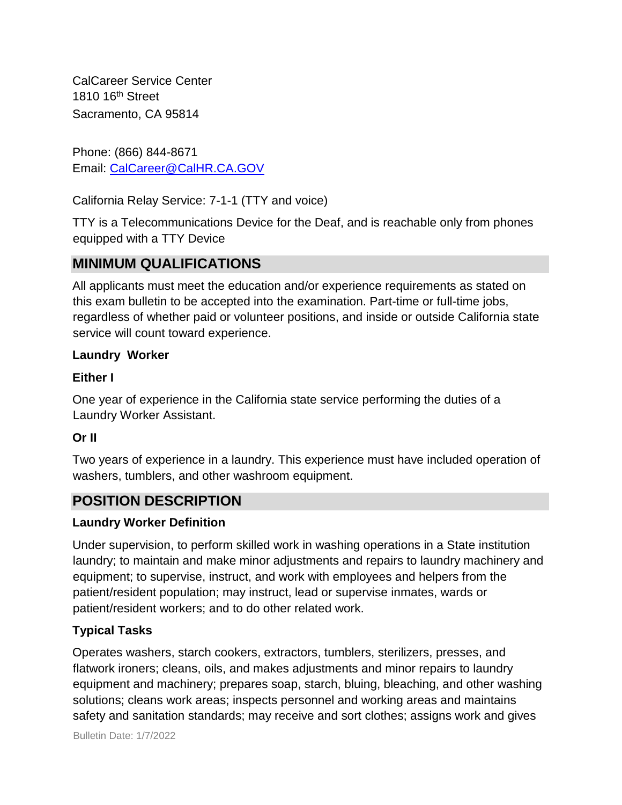CalCareer Service Center 1810 16<sup>th</sup> Street Sacramento, CA 95814

Phone: (866) 844-8671 Email: CalCareer@CalHR.CA.GOV

California Relay Service: 7-1-1 (TTY and voice)

TTY is a Telecommunications Device for the Deaf, and is reachable only from phones equipped with a TTY Device

# **MINIMUM QUALIFICATIONS**

All applicants must meet the education and/or experience requirements as stated on this exam bulletin to be accepted into the examination. Part-time or full-time jobs, regardless of whether paid or volunteer positions, and inside or outside California state service will count toward experience.

### **Laundry Worker**

### **Either I**

One year of experience in the California state service performing the duties of a Laundry Worker Assistant.

### **Or II**

Two years of experience in a laundry. This experience must have included operation of washers, tumblers, and other washroom equipment.

# **POSITION DESCRIPTION**

### **Laundry Worker Definition**

Under supervision, to perform skilled work in washing operations in a State institution laundry; to maintain and make minor adjustments and repairs to laundry machinery and equipment; to supervise, instruct, and work with employees and helpers from the patient/resident population; may instruct, lead or supervise inmates, wards or patient/resident workers; and to do other related work.

### **Typical Tasks**

Operates washers, starch cookers, extractors, tumblers, sterilizers, presses, and flatwork ironers; cleans, oils, and makes adjustments and minor repairs to laundry equipment and machinery; prepares soap, starch, bluing, bleaching, and other washing solutions; cleans work areas; inspects personnel and working areas and maintains safety and sanitation standards; may receive and sort clothes; assigns work and gives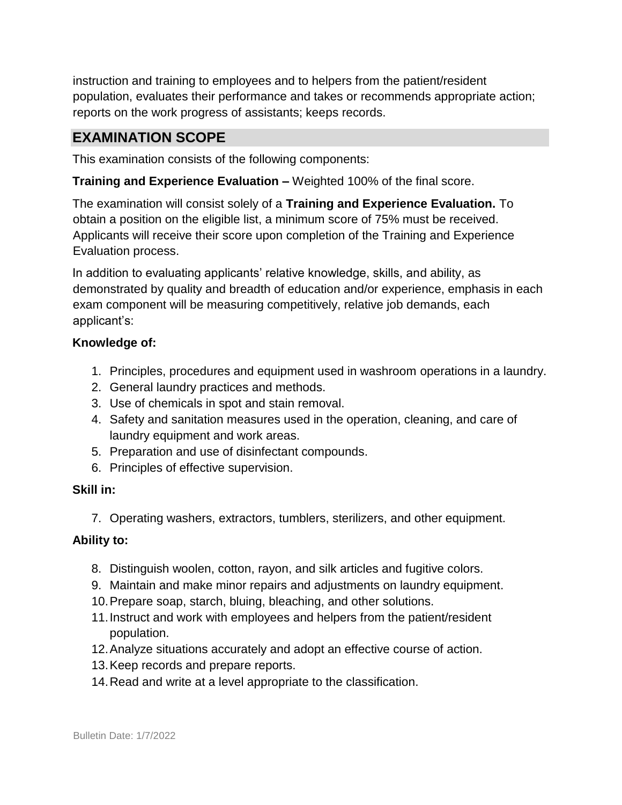instruction and training to employees and to helpers from the patient/resident population, evaluates their performance and takes or recommends appropriate action; reports on the work progress of assistants; keeps records.

### **EXAMINATION SCOPE**

This examination consists of the following components:

**Training and Experience Evaluation –** Weighted 100% of the final score.

The examination will consist solely of a **Training and Experience Evaluation.** To obtain a position on the eligible list, a minimum score of 75% must be received. Applicants will receive their score upon completion of the Training and Experience Evaluation process.

In addition to evaluating applicants' relative knowledge, skills, and ability, as demonstrated by quality and breadth of education and/or experience, emphasis in each exam component will be measuring competitively, relative job demands, each applicant's:

#### **Knowledge of:**

- 1. Principles, procedures and equipment used in washroom operations in a laundry.
- 2. General laundry practices and methods.
- 3. Use of chemicals in spot and stain removal.
- 4. Safety and sanitation measures used in the operation, cleaning, and care of laundry equipment and work areas.
- 5. Preparation and use of disinfectant compounds.
- 6. Principles of effective supervision.

#### **Skill in:**

7. Operating washers, extractors, tumblers, sterilizers, and other equipment.

#### **Ability to:**

- 8. Distinguish woolen, cotton, rayon, and silk articles and fugitive colors.
- 9. Maintain and make minor repairs and adjustments on laundry equipment.
- 10.Prepare soap, starch, bluing, bleaching, and other solutions.
- 11.Instruct and work with employees and helpers from the patient/resident population.
- 12.Analyze situations accurately and adopt an effective course of action.
- 13.Keep records and prepare reports.
- 14.Read and write at a level appropriate to the classification.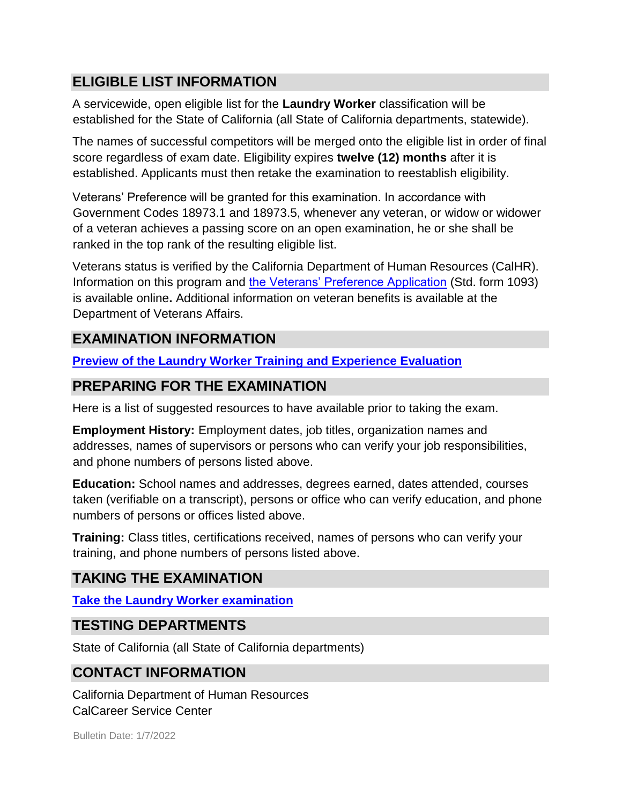# **ELIGIBLE LIST INFORMATION**

A servicewide, open eligible list for the **Laundry Worker** classification will be established for the State of California (all State of California departments, statewide).

The names of successful competitors will be merged onto the eligible list in order of final score regardless of exam date. Eligibility expires **twelve (12) months** after it is established. Applicants must then retake the examination to reestablish eligibility.

Veterans' Preference will be granted for this examination. In accordance with Government Codes 18973.1 and 18973.5, whenever any veteran, or widow or widower of a veteran achieves a passing score on an open examination, he or she shall be ranked in the top rank of the resulting eligible list.

Veterans status is verified by the California Department of Human Resources (CalHR). Information on this program and [the Veterans' Preference Application](https://www.jobs.ca.gov/CalHRPublic/Landing/Jobs/VeteransInformation.aspx) [\(](https://www.jobs.ca.gov/CalHRPublic/Landing/Jobs/VeteransInformation.aspx)Std. form 1093) is available online**.** Additional information on veteran benefits is available at the Department of Veterans Affairs.

# **EXAMINATION INFORMATION**

**[Preview of the Laundry Worker Training and Experience Evaluation](https://jobs.ca.gov/jobsgen/0PBGBa.pdf)**

# **PREPARING FOR THE EXAMINATION**

Here is a list of suggested resources to have available prior to taking the exam.

**Employment History:** Employment dates, job titles, organization names and addresses, names of supervisors or persons who can verify your job responsibilities, and phone numbers of persons listed above.

**Education:** School names and addresses, degrees earned, dates attended, courses taken (verifiable on a transcript), persons or office who can verify education, and phone numbers of persons or offices listed above.

**Training:** Class titles, certifications received, names of persons who can verify your training, and phone numbers of persons listed above.

# **TAKING THE EXAMINATION**

**[Take the Laundry Worker examination](https://www.jobs.ca.gov/CalHRPublic/Login.aspx?ExamId=0PBGB)**

### **TESTING DEPARTMENTS**

State of California (all State of California departments)

### **CONTACT INFORMATION**

California Department of Human Resources CalCareer Service Center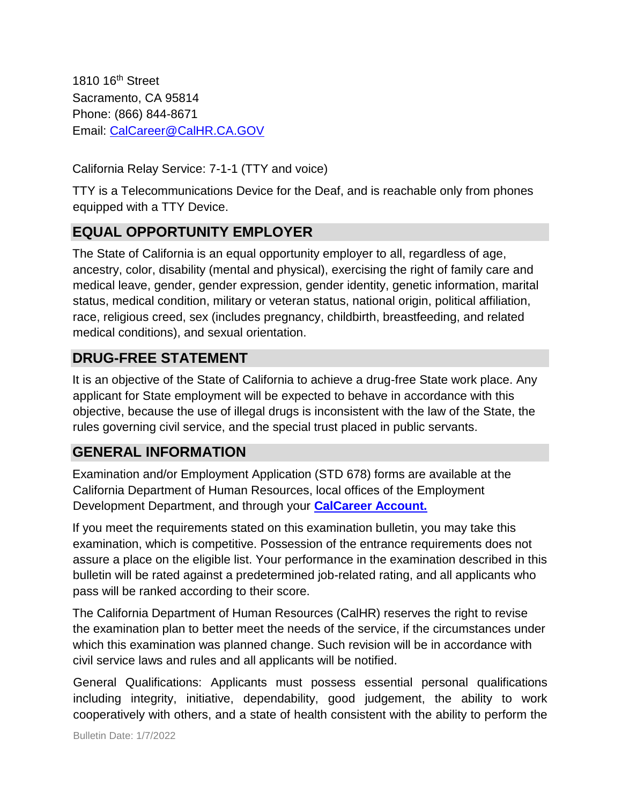1810 16th Street Sacramento, CA 95814 Phone: (866) 844-8671 Email: CalCareer@CalHR.CA.GOV

California Relay Service: 7-1-1 (TTY and voice)

TTY is a Telecommunications Device for the Deaf, and is reachable only from phones equipped with a TTY Device.

# **EQUAL OPPORTUNITY EMPLOYER**

The State of California is an equal opportunity employer to all, regardless of age, ancestry, color, disability (mental and physical), exercising the right of family care and medical leave, gender, gender expression, gender identity, genetic information, marital status, medical condition, military or veteran status, national origin, political affiliation, race, religious creed, sex (includes pregnancy, childbirth, breastfeeding, and related medical conditions), and sexual orientation.

### **DRUG-FREE STATEMENT**

It is an objective of the State of California to achieve a drug-free State work place. Any applicant for State employment will be expected to behave in accordance with this objective, because the use of illegal drugs is inconsistent with the law of the State, the rules governing civil service, and the special trust placed in public servants.

# **GENERAL INFORMATION**

Examination and/or Employment Application (STD 678) forms are available at the California Department of Human Resources, local offices of the Employment Development Department, and through your **[CalCareer Account.](http://www.jobs.ca.gov/)**

If you meet the requirements stated on this examination bulletin, you may take this examination, which is competitive. Possession of the entrance requirements does not assure a place on the eligible list. Your performance in the examination described in this bulletin will be rated against a predetermined job-related rating, and all applicants who pass will be ranked according to their score.

The California Department of Human Resources (CalHR) reserves the right to revise the examination plan to better meet the needs of the service, if the circumstances under which this examination was planned change. Such revision will be in accordance with civil service laws and rules and all applicants will be notified.

General Qualifications: Applicants must possess essential personal qualifications including integrity, initiative, dependability, good judgement, the ability to work cooperatively with others, and a state of health consistent with the ability to perform the